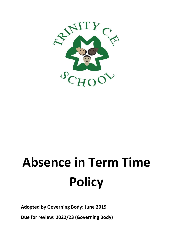

# **Absence in Term Time Policy**

**Adopted by Governing Body: June 2019**

**Due for review: 2022/23 (Governing Body)**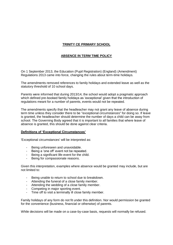# **TRINITY CE PRIMARY SCHOOL**

# **ABSENCE IN TERM TIME POLICY**

On 1 September 2013, the Education (Pupil Registration) (England) (Amendment) Regulations 2013 came into force, changing the rules about term-time holidays.

The amendments removed references to family holidays and extended leave as well as the statutory threshold of 10 school days.

Parents were informed that during 2013/14, the school would adopt a pragmatic approach which defined pre-booked family holidays as 'exceptional' given that the introduction of regulations meant for a number of parents, events would not be repeated.

The amendments specify that the headteacher may not grant any leave of absence during term time unless they consider there to be "exceptional circumstances" for doing so. If leave is granted, the headteacher should determine the number of days a child can be away from school. The Governing Body agreed that it is important to all families that where leave of absence is granted, this should be done against clear criteria.

### **Definitions of 'Exceptional Circumstances'**

'Exceptional circumstances' will be interpreted as:

- Being unforeseen and unavoidable.
- Being a 'one off' event not be repeated.
- Being a significant life-event for the child.
- Being for compassionate reasons.

Given this interpretation, examples where absence would be granted may include, but are not limited to:

- Being unable to return to school due to breakdown.
- Attending the funeral of a close family member.
- Attending the wedding of a close family member.
- Competing in major sporting event.
- Time off to visit a terminally ill close family member.

Family holidays of any form do not fit under this definition. Nor would permission be granted for the convenience (business, financial or otherwise) of parents.

While decisions will be made on a case-by-case basis, requests will normally be refused.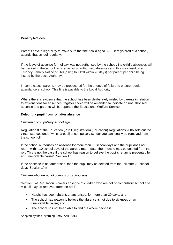## **Penalty Notices**

Parents have a legal duty to make sure that their child aged 5-16, if registered at a school, attends that school regularly.

If the leave of absence for holiday was not authorised by the school, the child's absences will be marked in the school register as an unauthorised absences and this may result in a Truancy Penalty Notice of £60 (rising to £120 within 28 days) per parent per child being issued by the Local Authority.

In some cases, parents may be prosecuted for the offence of failure to ensure regular attendance at school. This fine is payable to the Local Authority.

Where there is evidence that the school has been deliberately misled by parents in relation to explanations for absences, register codes will be amended to indicate an unauthorised absence and parents will be reported the Educational Welfare Service.

### **Deleting a pupil from roll after absence**

### *Children of compulsory school age*

Regulation 8 of the Education (Pupil Registration) (Education) Regulations 2006 sets out the circumstances under which a pupil of compulsory school age can legally be removed from the school roll.

If the school authorises an absence for more than 10 school days and the pupil does not return within 10 school days of the agreed return date, then he/she may be deleted from the roll. This is not the case if the school has reason to believe the pupil's return is prevented by an "unavoidable cause". Section 1(f)

If the absence is not authorised, then the pupil may be deleted from the roll after 20 school days. Section 1(h)

### *Children who are not of compulsory school age*

Section 3 of Regulation 8 covers absence of children who are not of compulsory school age. A pupil may be removed from the roll if:

- He/she has been absent, unauthorised, for more than 20 days; and
- The school has reason to believe the absence is not due to sickness or an unavoidable cause; and
- The school has not been able to find out where he/she is.

Adopted by the Governing Body, April 2014